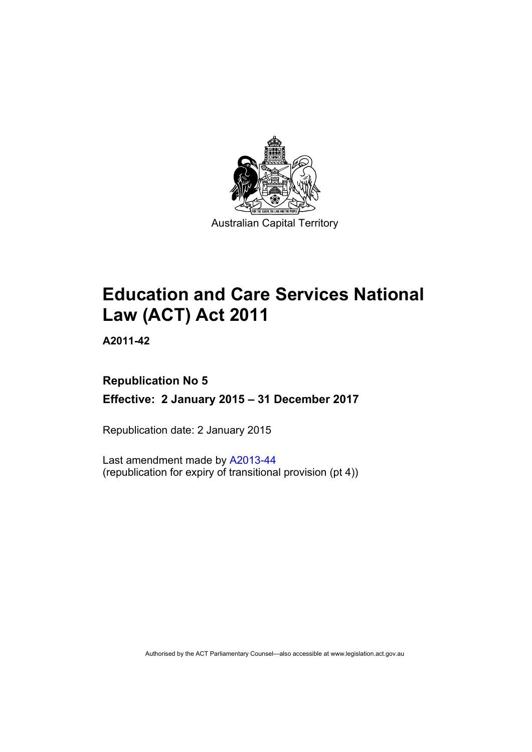

# **Education and Care Services National Law (ACT) Act 2011**

**A2011-42** 

# **Republication No 5 Effective: 2 January 2015 – 31 December 2017**

Republication date: 2 January 2015

Last amendment made by [A2013-44](http://www.legislation.act.gov.au/a/2013-44/default.asp) (republication for expiry of transitional provision (pt 4))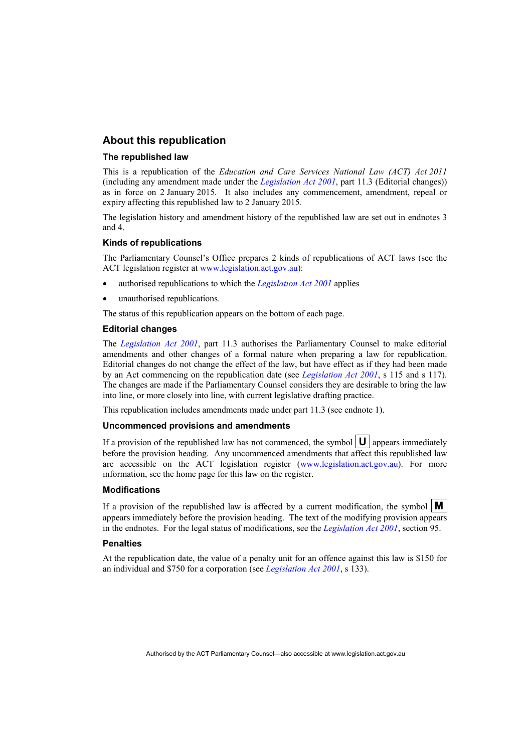#### **About this republication**

#### **The republished law**

This is a republication of the *Education and Care Services National Law (ACT) Act 2011* (including any amendment made under the *[Legislation Act 2001](http://www.legislation.act.gov.au/a/2001-14)*, part 11.3 (Editorial changes)) as in force on 2 January 2015*.* It also includes any commencement, amendment, repeal or expiry affecting this republished law to 2 January 2015.

The legislation history and amendment history of the republished law are set out in endnotes 3 and 4.

#### **Kinds of republications**

The Parliamentary Counsel's Office prepares 2 kinds of republications of ACT laws (see the ACT legislation register at [www.legislation.act.gov.au](http://www.legislation.act.gov.au/)):

- authorised republications to which the *[Legislation Act 2001](http://www.legislation.act.gov.au/a/2001-14)* applies
- unauthorised republications.

The status of this republication appears on the bottom of each page.

#### **Editorial changes**

The *[Legislation Act 2001](http://www.legislation.act.gov.au/a/2001-14)*, part 11.3 authorises the Parliamentary Counsel to make editorial amendments and other changes of a formal nature when preparing a law for republication. Editorial changes do not change the effect of the law, but have effect as if they had been made by an Act commencing on the republication date (see *[Legislation Act 2001](http://www.legislation.act.gov.au/a/2001-14)*, s 115 and s 117). The changes are made if the Parliamentary Counsel considers they are desirable to bring the law into line, or more closely into line, with current legislative drafting practice.

This republication includes amendments made under part 11.3 (see endnote 1).

#### **Uncommenced provisions and amendments**

If a provision of the republished law has not commenced, the symbol  $\mathbf{U}$  appears immediately before the provision heading. Any uncommenced amendments that affect this republished law are accessible on the ACT legislation register [\(www.legislation.act.gov.au\)](http://www.legislation.act.gov.au/). For more information, see the home page for this law on the register.

#### **Modifications**

If a provision of the republished law is affected by a current modification, the symbol  $\mathbf{M}$ appears immediately before the provision heading. The text of the modifying provision appears in the endnotes. For the legal status of modifications, see the *[Legislation Act 2001](http://www.legislation.act.gov.au/a/2001-14)*, section 95.

#### **Penalties**

At the republication date, the value of a penalty unit for an offence against this law is \$150 for an individual and \$750 for a corporation (see *[Legislation Act 2001](http://www.legislation.act.gov.au/a/2001-14)*, s 133).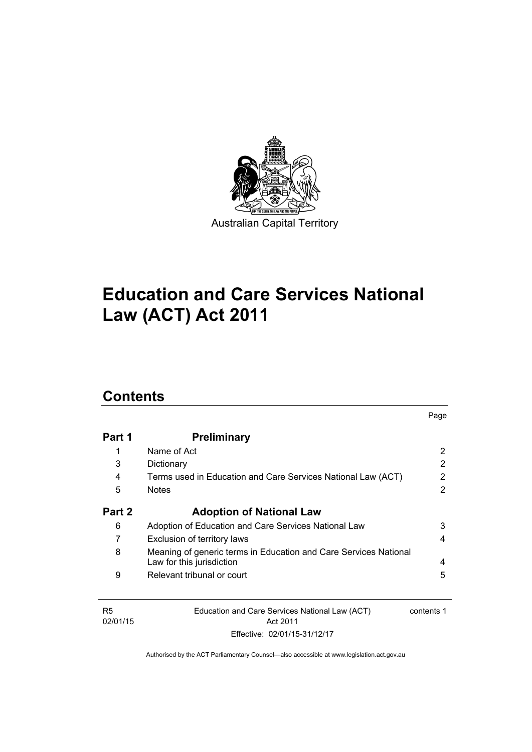

# **Education and Care Services National Law (ACT) Act 2011**

# **Contents**

| Part 1 | <b>Preliminary</b>                                                                            |   |
|--------|-----------------------------------------------------------------------------------------------|---|
| 1      | Name of Act                                                                                   | 2 |
| 3      | Dictionary                                                                                    | 2 |
| 4      | Terms used in Education and Care Services National Law (ACT)                                  | 2 |
| 5      | <b>Notes</b>                                                                                  | 2 |
| Part 2 | <b>Adoption of National Law</b>                                                               |   |
| 6      | Adoption of Education and Care Services National Law                                          | 3 |
| 7      | Exclusion of territory laws                                                                   | 4 |
| 8      | Meaning of generic terms in Education and Care Services National<br>Law for this jurisdiction | 4 |
| 9      | Relevant tribunal or court                                                                    | 5 |

Page

R5 02/01/15 Education and Care Services National Law (ACT) Act 2011 Effective: 02/01/15-31/12/17 contents 1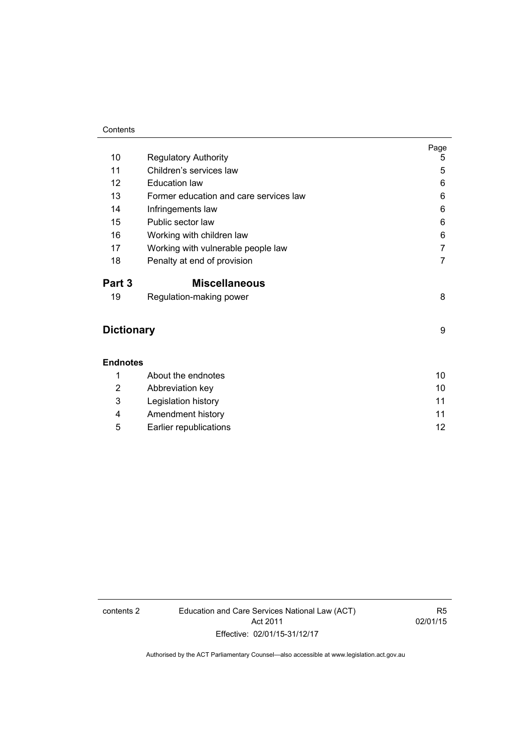#### **Contents**

|                   |                                        | Page           |
|-------------------|----------------------------------------|----------------|
| 10                | <b>Regulatory Authority</b>            | 5              |
| 11                | Children's services law                | 5              |
| 12                | <b>Education law</b>                   | 6              |
| 13                | Former education and care services law | 6              |
| 14                | Infringements law                      | 6              |
| 15                | Public sector law                      | 6              |
| 16                | Working with children law              | 6              |
| 17                | Working with vulnerable people law     | 7              |
| 18                | Penalty at end of provision            | $\overline{7}$ |
| Part 3            | <b>Miscellaneous</b>                   |                |
| 19                | Regulation-making power                | 8              |
| <b>Dictionary</b> |                                        | 9              |
| <b>Endnotes</b>   |                                        |                |
| 1                 | About the endnotes                     | 10             |
| 2                 | Abbreviation key                       | 10             |
| 3                 | Legislation history                    | 11             |
| 4                 | Amendment history                      | 11             |
| 5                 | Earlier republications                 | 12             |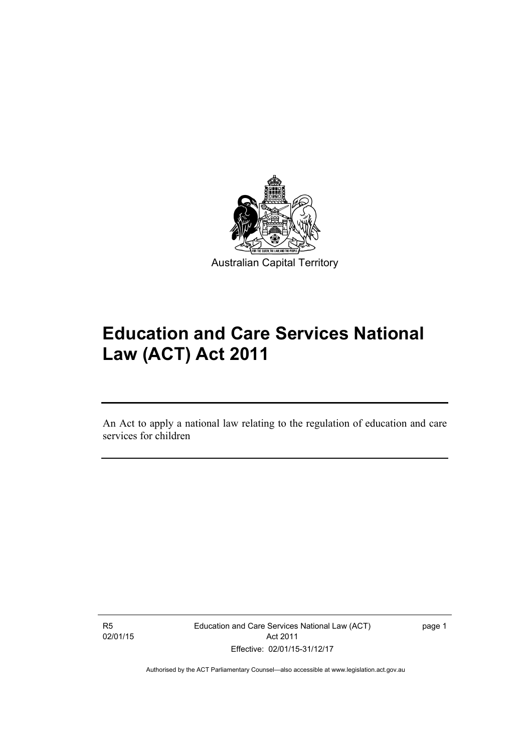

# **Education and Care Services National Law (ACT) Act 2011**

An Act to apply a national law relating to the regulation of education and care services for children

R5 02/01/15

l

Education and Care Services National Law (ACT) Act 2011 Effective: 02/01/15-31/12/17

page 1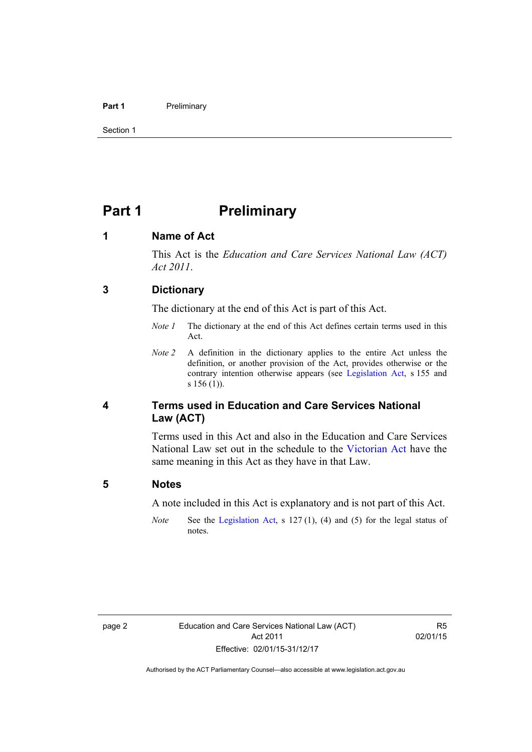#### **Part 1** Preliminary

Section 1

### <span id="page-5-0"></span>**Part 1** Preliminary

#### <span id="page-5-1"></span>**1 Name of Act**

This Act is the *Education and Care Services National Law (ACT) Act 2011*.

#### <span id="page-5-2"></span>**3 Dictionary**

The dictionary at the end of this Act is part of this Act.

- *Note 1* The dictionary at the end of this Act defines certain terms used in this Act.
- *Note 2* A definition in the dictionary applies to the entire Act unless the definition, or another provision of the Act, provides otherwise or the contrary intention otherwise appears (see [Legislation Act](http://www.legislation.act.gov.au/a/2001-14), s 155 and s 156 (1)).

#### <span id="page-5-3"></span>**4 Terms used in Education and Care Services National Law (ACT)**

Terms used in this Act and also in the Education and Care Services National Law set out in the schedule to the [Victorian Act](http://www.legislation.vic.gov.au/) have the same meaning in this Act as they have in that Law.

#### <span id="page-5-4"></span>**5 Notes**

A note included in this Act is explanatory and is not part of this Act.

*Note* See the [Legislation Act,](http://www.legislation.act.gov.au/a/2001-14) s 127 (1), (4) and (5) for the legal status of notes.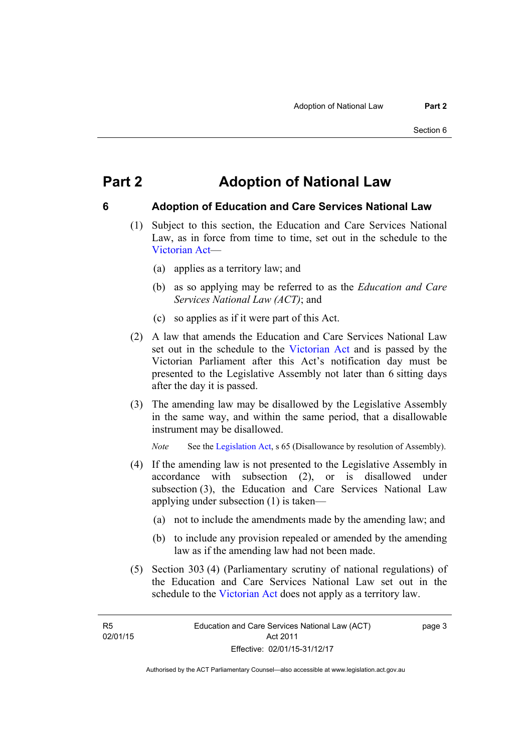### <span id="page-6-0"></span>**Part 2 Adoption of National Law**

### <span id="page-6-1"></span>**6 Adoption of Education and Care Services National Law**

- (1) Subject to this section, the Education and Care Services National Law, as in force from time to time, set out in the schedule to the [Victorian Act—](http://www.legislation.vic.gov.au/)
	- (a) applies as a territory law; and
	- (b) as so applying may be referred to as the *Education and Care Services National Law (ACT)*; and
	- (c) so applies as if it were part of this Act.
- (2) A law that amends the Education and Care Services National Law set out in the schedule to the [Victorian Act](http://www.legislation.vic.gov.au/) and is passed by the Victorian Parliament after this Act's notification day must be presented to the Legislative Assembly not later than 6 sitting days after the day it is passed.
- (3) The amending law may be disallowed by the Legislative Assembly in the same way, and within the same period, that a disallowable instrument may be disallowed.

*Note* See the [Legislation Act,](http://www.legislation.act.gov.au/a/2001-14) s 65 (Disallowance by resolution of Assembly).

- (4) If the amending law is not presented to the Legislative Assembly in accordance with subsection (2), or is disallowed under subsection (3), the Education and Care Services National Law applying under subsection (1) is taken—
	- (a) not to include the amendments made by the amending law; and
	- (b) to include any provision repealed or amended by the amending law as if the amending law had not been made.
- (5) Section 303 (4) (Parliamentary scrutiny of national regulations) of the Education and Care Services National Law set out in the schedule to the [Victorian Act](http://www.legislation.vic.gov.au/) does not apply as a territory law.

R5 02/01/15 page 3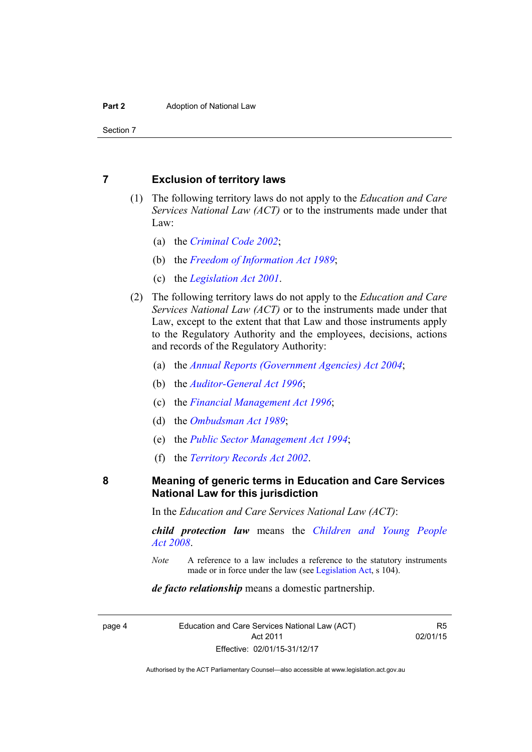Section 7

#### <span id="page-7-0"></span>**7 Exclusion of territory laws**

- (1) The following territory laws do not apply to the *Education and Care Services National Law (ACT)* or to the instruments made under that Law:
	- (a) the *[Criminal Code 2002](http://www.legislation.act.gov.au/a/2002-51)*;
	- (b) the *[Freedom of Information Act 1989](http://www.legislation.act.gov.au/a/alt_a1989-46co)*;
	- (c) the *[Legislation Act 2001](http://www.legislation.act.gov.au/a/2001-14)*.
- (2) The following territory laws do not apply to the *Education and Care Services National Law (ACT)* or to the instruments made under that Law, except to the extent that that Law and those instruments apply to the Regulatory Authority and the employees, decisions, actions and records of the Regulatory Authority:
	- (a) the *[Annual Reports \(Government Agencies\) Act 2004](http://www.legislation.act.gov.au/a/2004-8)*;
	- (b) the *[Auditor-General Act 1996](http://www.legislation.act.gov.au/a/1996-23)*;
	- (c) the *[Financial Management Act 1996](http://www.legislation.act.gov.au/a/1996-22)*;
	- (d) the *[Ombudsman Act 1989](http://www.legislation.act.gov.au/a/alt_a1989-45co)*;
	- (e) the *[Public Sector Management Act 1994](http://www.legislation.act.gov.au/a/1994-37)*;
	- (f) the *[Territory Records Act 2002](http://www.legislation.act.gov.au/a/2002-18)*.

#### <span id="page-7-1"></span>**8 Meaning of generic terms in Education and Care Services National Law for this jurisdiction**

In the *Education and Care Services National Law (ACT)*:

*child protection law* means the *[Children and Young People](http://www.legislation.act.gov.au/a/2008-19)  [Act 2008](http://www.legislation.act.gov.au/a/2008-19)*.

*Note* A reference to a law includes a reference to the statutory instruments made or in force under the law (see [Legislation Act,](http://www.legislation.act.gov.au/a/2001-14) s 104).

#### *de facto relationship* means a domestic partnership.

page 4 Education and Care Services National Law (ACT) Act 2011 Effective: 02/01/15-31/12/17

R5 02/01/15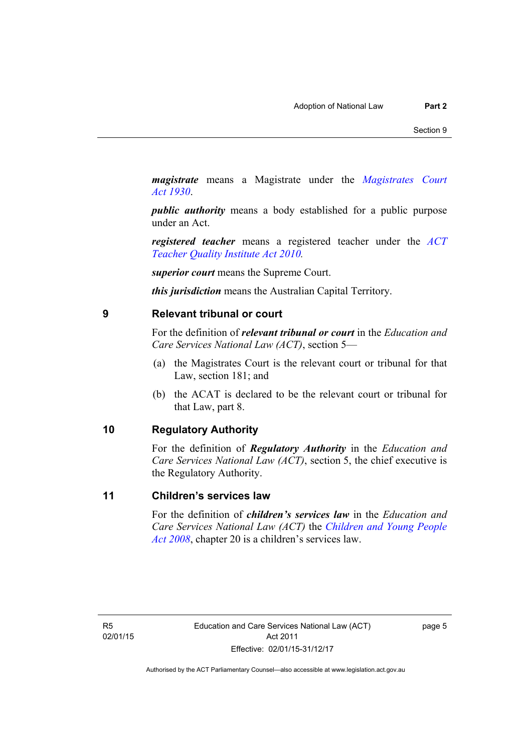*magistrate* means a Magistrate under the *[Magistrates Court](http://www.legislation.act.gov.au/a/1930-21)  [Act 1930](http://www.legislation.act.gov.au/a/1930-21)*.

*public authority* means a body established for a public purpose under an Act.

*registered teacher* means a registered teacher under the *[ACT](http://www.legislation.act.gov.au/a/2010-55)  [Teacher Quality Institute Act 2010.](http://www.legislation.act.gov.au/a/2010-55)*

*superior court* means the Supreme Court.

*this jurisdiction* means the Australian Capital Territory.

#### <span id="page-8-0"></span>**9 Relevant tribunal or court**

For the definition of *relevant tribunal or court* in the *Education and Care Services National Law (ACT)*, section 5—

- (a) the Magistrates Court is the relevant court or tribunal for that Law, section 181; and
- (b) the ACAT is declared to be the relevant court or tribunal for that Law, part 8.

#### <span id="page-8-1"></span>**10 Regulatory Authority**

For the definition of *Regulatory Authority* in the *Education and Care Services National Law (ACT)*, section 5, the chief executive is the Regulatory Authority.

#### <span id="page-8-2"></span>**11 Children's services law**

For the definition of *children's services law* in the *Education and Care Services National Law (ACT)* the *[Children and Young People](http://www.legislation.act.gov.au/a/2008-19)  [Act 2008](http://www.legislation.act.gov.au/a/2008-19)*, chapter 20 is a children's services law.

R5 02/01/15 page 5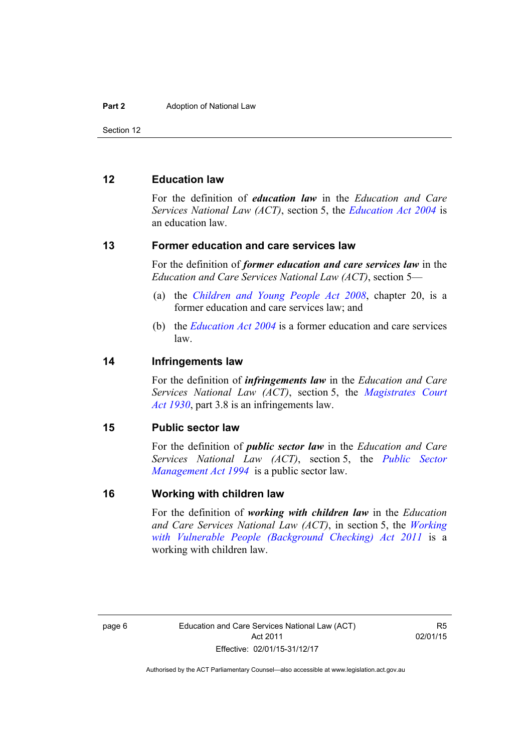Section 12

#### <span id="page-9-0"></span>**12 Education law**

For the definition of *education law* in the *Education and Care Services National Law (ACT)*, section 5, the *[Education Act 2004](http://www.legislation.act.gov.au/a/2004-17)* is an education law.

#### <span id="page-9-1"></span>**13 Former education and care services law**

For the definition of *former education and care services law* in the *Education and Care Services National Law (ACT)*, section 5—

- (a) the *[Children and Young People Act 2008](http://www.legislation.act.gov.au/a/2008-19)*, chapter 20, is a former education and care services law; and
- (b) the *[Education Act 2004](http://www.legislation.act.gov.au/a/2004-17)* is a former education and care services law.

#### <span id="page-9-2"></span>**14 Infringements law**

For the definition of *infringements law* in the *Education and Care Services National Law (ACT)*, section 5, the *[Magistrates Court](http://www.legislation.act.gov.au/a/1930-21)  [Act 1930](http://www.legislation.act.gov.au/a/1930-21)*, part 3.8 is an infringements law.

#### <span id="page-9-3"></span>**15 Public sector law**

For the definition of *public sector law* in the *Education and Care Services National Law (ACT)*, section 5, the *[Public Sector](http://www.legislation.act.gov.au/a/1994-37)  [Management Act 1994](http://www.legislation.act.gov.au/a/1994-37)* is a public sector law.

#### <span id="page-9-4"></span>**16 Working with children law**

For the definition of *working with children law* in the *Education and Care Services National Law (ACT)*, in section 5, the *[Working](http://www.legislation.act.gov.au/a/2011-44)  [with Vulnerable People \(Background Checking\) Act 2011](http://www.legislation.act.gov.au/a/2011-44)* is a working with children law.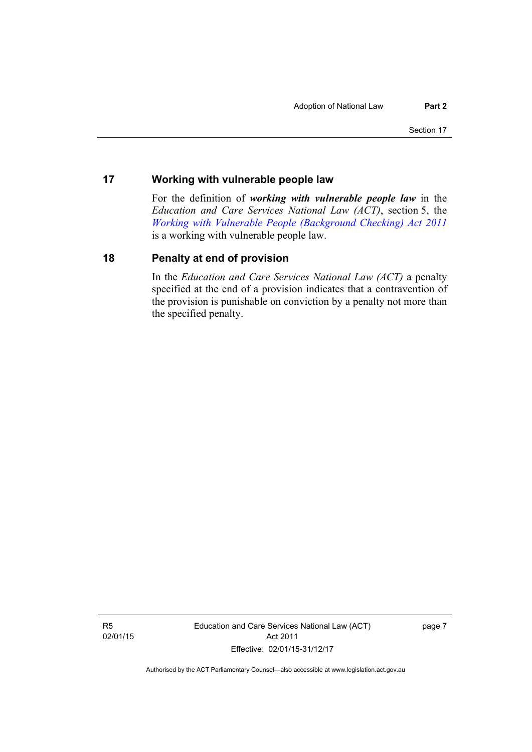#### <span id="page-10-0"></span>**17 Working with vulnerable people law**

For the definition of *working with vulnerable people law* in the *Education and Care Services National Law (ACT)*, section 5, the *[Working with Vulnerable People \(Background Checking\) Act 2011](http://www.legislation.act.gov.au/a/2011-44)* is a working with vulnerable people law.

#### <span id="page-10-1"></span>**18 Penalty at end of provision**

In the *Education and Care Services National Law (ACT)* a penalty specified at the end of a provision indicates that a contravention of the provision is punishable on conviction by a penalty not more than the specified penalty.

R5 02/01/15 Education and Care Services National Law (ACT) Act 2011 Effective: 02/01/15-31/12/17

page 7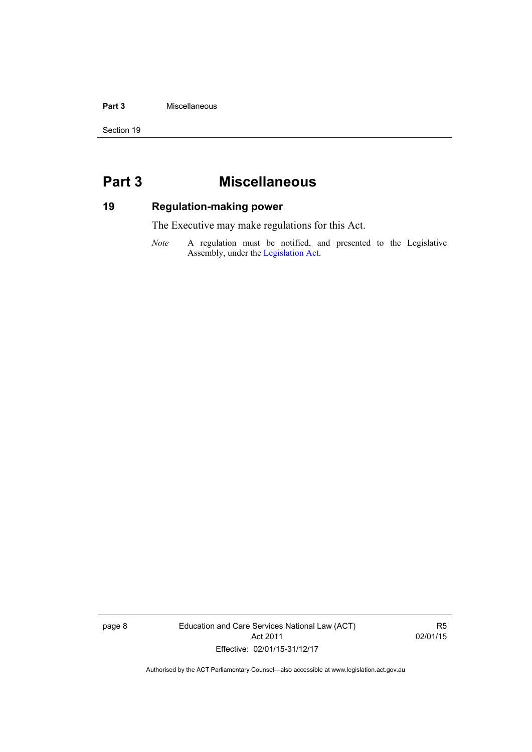#### **Part 3** Miscellaneous

Section 19

## <span id="page-11-0"></span>**Part 3 Miscellaneous**

### <span id="page-11-1"></span>**19 Regulation-making power**

The Executive may make regulations for this Act.

*Note* A regulation must be notified, and presented to the Legislative Assembly, under the [Legislation Act](http://www.legislation.act.gov.au/a/2001-14).

page 8 Education and Care Services National Law (ACT) Act 2011 Effective: 02/01/15-31/12/17

R5 02/01/15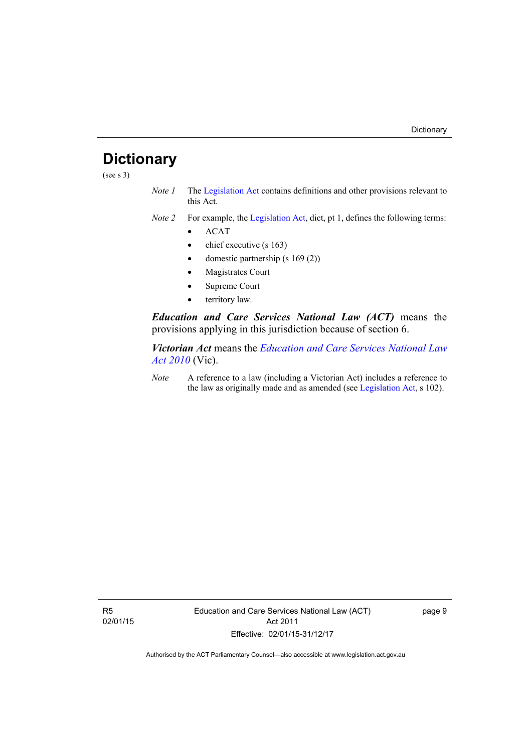# <span id="page-12-0"></span>**Dictionary**

(see s 3)

- *Note 1* The [Legislation Act](http://www.legislation.act.gov.au/a/2001-14) contains definitions and other provisions relevant to this Act.
- *Note 2* For example, the [Legislation Act,](http://www.legislation.act.gov.au/a/2001-14) dict, pt 1, defines the following terms:
	- $\bullet$  ACAT
	- chief executive (s 163)
	- domestic partnership (s 169 (2))
	- Magistrates Court
	- Supreme Court
	- territory law.

*Education and Care Services National Law (ACT)* means the provisions applying in this jurisdiction because of section 6.

*Victorian Act* means the *[Education and Care Services National Law](http://www.legislation.vic.gov.au/)  [Act 2010](http://www.legislation.vic.gov.au/)* (Vic).

*Note* A reference to a law (including a Victorian Act) includes a reference to the law as originally made and as amended (see [Legislation Act,](http://www.legislation.act.gov.au/a/2001-14) s 102).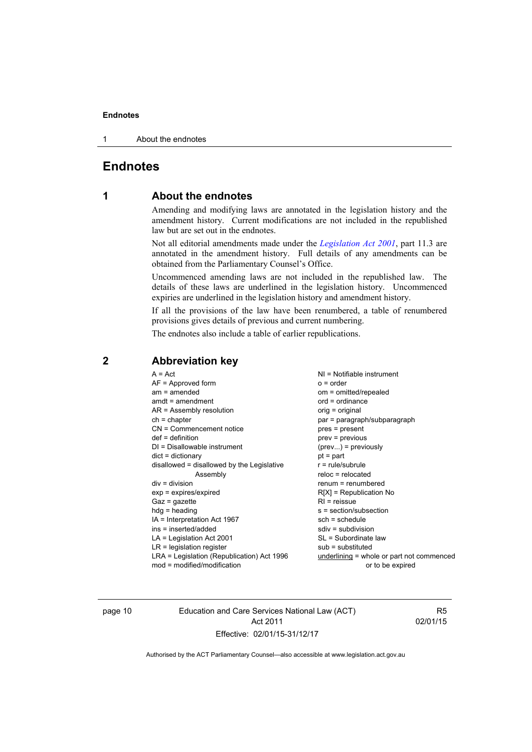#### **Endnotes**

1 About the endnotes

#### <span id="page-13-0"></span>**Endnotes**

#### **1 About the endnotes**

Amending and modifying laws are annotated in the legislation history and the amendment history. Current modifications are not included in the republished law but are set out in the endnotes.

Not all editorial amendments made under the *[Legislation Act 2001](http://www.legislation.act.gov.au/a/2001-14)*, part 11.3 are annotated in the amendment history. Full details of any amendments can be obtained from the Parliamentary Counsel's Office.

Uncommenced amending laws are not included in the republished law. The details of these laws are underlined in the legislation history. Uncommenced expiries are underlined in the legislation history and amendment history.

If all the provisions of the law have been renumbered, a table of renumbered provisions gives details of previous and current numbering.

The endnotes also include a table of earlier republications.

| $A = Act$ | $AF =$ Approved form<br>$am = amended$<br>$amdt = amendment$<br>$AR = Assembly resolution$<br>$ch = chapter$<br>$CN =$ Commencement notice<br>$def = definition$<br>$DI = Disallowable instrument$<br>$dict = dictionary$<br>disallowed = disallowed by the Legislative<br>Assembly<br>$div = division$<br>$exp = expires/expired$<br>$Gaz = gazette$<br>$hdg = heading$<br>IA = Interpretation Act 1967<br>ins = inserted/added<br>$LA =$ Legislation Act 2001<br>$LR =$ legislation register<br>LRA = Legislation (Republication) Act 1996 | $NI = Notifiable$ instrument<br>$o = order$<br>om = omitted/repealed<br>$ord = ordinance$<br>orig = original<br>par = paragraph/subparagraph<br>$pres = present$<br>$prev = previous$<br>$(\text{prev})$ = previously<br>$pt = part$<br>$r = rule/subrule$<br>$reloc = relocated$<br>$renum = renumbered$<br>$R[X]$ = Republication No<br>$RI = reissue$<br>s = section/subsection<br>$sch = schedule$<br>$sdiv = subdivision$<br>SL = Subordinate law<br>$sub =$ substituted<br>underlining = whole or part not commenced |
|-----------|----------------------------------------------------------------------------------------------------------------------------------------------------------------------------------------------------------------------------------------------------------------------------------------------------------------------------------------------------------------------------------------------------------------------------------------------------------------------------------------------------------------------------------------------|----------------------------------------------------------------------------------------------------------------------------------------------------------------------------------------------------------------------------------------------------------------------------------------------------------------------------------------------------------------------------------------------------------------------------------------------------------------------------------------------------------------------------|
|           | $mod = modified/modification$                                                                                                                                                                                                                                                                                                                                                                                                                                                                                                                | or to be expired                                                                                                                                                                                                                                                                                                                                                                                                                                                                                                           |

#### <span id="page-13-2"></span>**2 Abbreviation key**

page 10 Education and Care Services National Law (ACT) Act 2011 Effective: 02/01/15-31/12/17

R5 02/01/15

<span id="page-13-1"></span>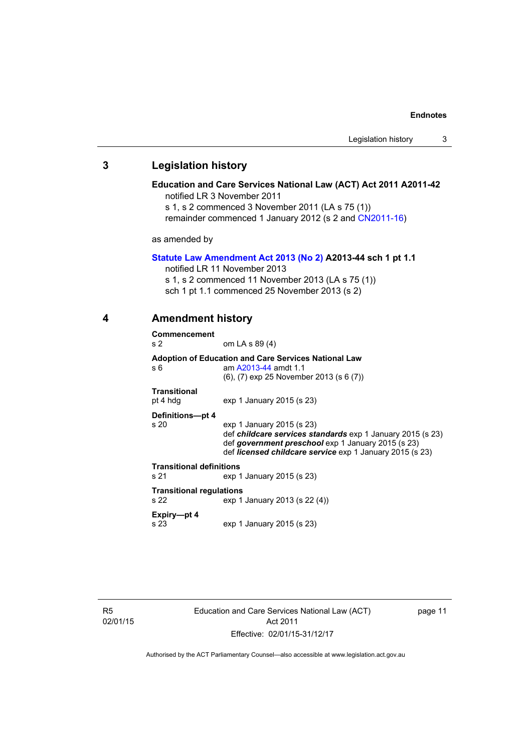#### **Endnotes**

#### <span id="page-14-0"></span>**3 Legislation history**

#### **Education and Care Services National Law (ACT) Act 2011 A2011-42**  notified LR 3 November 2011

s 1, s 2 commenced 3 November 2011 (LA s 75 (1))

remainder commenced 1 January 2012 (s 2 and [CN2011-16\)](http://www.legislation.act.gov.au/cn/2011-16/default.asp)

as amended by

#### **[Statute Law Amendment Act 2013 \(No 2\)](http://www.legislation.act.gov.au/a/2013-44) A2013-44 sch 1 pt 1.1**

notified LR 11 November 2013

s 1, s 2 commenced 11 November 2013 (LA s 75 (1))

sch 1 pt 1.1 commenced 25 November 2013 (s 2)

<span id="page-14-1"></span>

#### **4 Amendment history**

|                                                                          | Commencement<br>s 2                                                                                                                           | om LA s 89 (4)                                                                                                                                                                                                          |  |  |
|--------------------------------------------------------------------------|-----------------------------------------------------------------------------------------------------------------------------------------------|-------------------------------------------------------------------------------------------------------------------------------------------------------------------------------------------------------------------------|--|--|
|                                                                          | <b>Adoption of Education and Care Services National Law</b><br>am A2013-44 amdt 1.1<br>s 6<br>$(6)$ , $(7)$ exp 25 November 2013 (s 6 $(7)$ ) |                                                                                                                                                                                                                         |  |  |
|                                                                          | <b>Transitional</b><br>pt 4 hdg                                                                                                               | exp 1 January 2015 (s 23)                                                                                                                                                                                               |  |  |
|                                                                          | Definitions-pt 4<br>s 20                                                                                                                      | exp 1 January 2015 (s 23)<br>def <i>childcare services standards</i> exp 1 January 2015 (s 23)<br>def government preschool exp 1 January 2015 (s 23)<br>def <i>licensed childcare service</i> exp 1 January 2015 (s 23) |  |  |
|                                                                          | <b>Transitional definitions</b><br>s 21                                                                                                       | exp 1 January 2015 (s 23)                                                                                                                                                                                               |  |  |
| <b>Transitional regulations</b><br>exp 1 January 2013 (s 22 (4))<br>s 22 |                                                                                                                                               |                                                                                                                                                                                                                         |  |  |
|                                                                          | Expiry-pt 4<br>s 23                                                                                                                           | exp 1 January 2015 (s 23)                                                                                                                                                                                               |  |  |

R5 02/01/15 Education and Care Services National Law (ACT) Act 2011 Effective: 02/01/15-31/12/17

page 11